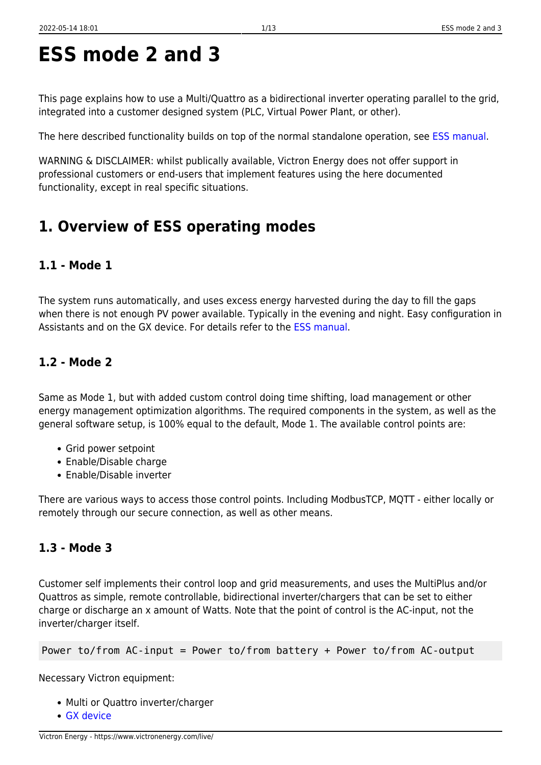**ESS mode 2 and 3**

integrated into a customer designed system (PLC, Virtual Power Plant, or other).

# **1. Overview of ESS operating modes**

functionality, except in real specific situations.

### **1.1 - Mode 1**

The system runs automatically, and uses excess energy harvested during the day to fill the gaps when there is not enough PV power available. Typically in the evening and night. Easy configuration in Assistants and on the GX device. For details refer to the [ESS manual](https://www.victronenergy.com/live/ess:design-installation-manual).

### **1.2 - Mode 2**

Same as Mode 1, but with added custom control doing time shifting, load management or other energy management optimization algorithms. The required components in the system, as well as the general software setup, is 100% equal to the default, Mode 1. The available control points are:

- Grid power setpoint
- Enable/Disable charge
- Enable/Disable inverter

There are various ways to access those control points. Including ModbusTCP, MQTT - either locally or remotely through our secure connection, as well as other means.

### **1.3 - Mode 3**

Customer self implements their control loop and grid measurements, and uses the MultiPlus and/or Quattros as simple, remote controllable, bidirectional inverter/chargers that can be set to either charge or discharge an x amount of Watts. Note that the point of control is the AC-input, not the inverter/charger itself.

Power to/from AC-input = Power to/from battery + Power to/from AC-output

Necessary Victron equipment:

- Multi or Quattro inverter/charger
- [GX device](https://www.victronenergy.com/live/venus-os:start)

This page explains how to use a Multi/Quattro as a bidirectional inverter operating parallel to the grid,

The here described functionality builds on top of the normal standalone operation, see [ESS manual](https://www.victronenergy.com/live/ess:design-installation-manual).

WARNING & DISCLAIMER: whilst publically available, Victron Energy does not offer support in professional customers or end-users that implement features using the here documented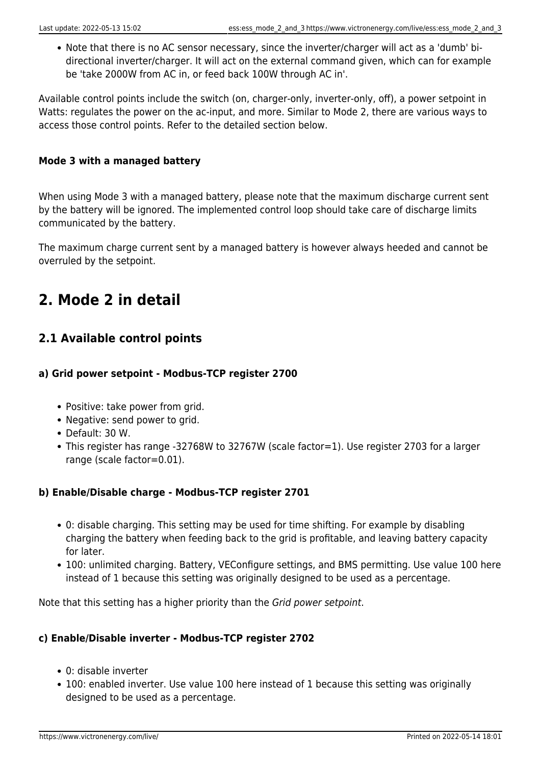Note that there is no AC sensor necessary, since the inverter/charger will act as a 'dumb' bidirectional inverter/charger. It will act on the external command given, which can for example be 'take 2000W from AC in, or feed back 100W through AC in'.

Available control points include the switch (on, charger-only, inverter-only, off), a power setpoint in Watts: regulates the power on the ac-input, and more. Similar to Mode 2, there are various ways to access those control points. Refer to the detailed section below.

### **Mode 3 with a managed battery**

When using Mode 3 with a managed battery, please note that the maximum discharge current sent by the battery will be ignored. The implemented control loop should take care of discharge limits communicated by the battery.

The maximum charge current sent by a managed battery is however always heeded and cannot be overruled by the setpoint.

# **2. Mode 2 in detail**

### **2.1 Available control points**

### **a) Grid power setpoint - Modbus-TCP register 2700**

- Positive: take power from grid.
- Negative: send power to grid.
- Default: 30 W.
- This register has range -32768W to 32767W (scale factor=1). Use register 2703 for a larger range (scale factor=0.01).

### **b) Enable/Disable charge - Modbus-TCP register 2701**

- 0: disable charging. This setting may be used for time shifting. For example by disabling charging the battery when feeding back to the grid is profitable, and leaving battery capacity for later.
- 100: unlimited charging. Battery, VEConfigure settings, and BMS permitting. Use value 100 here instead of 1 because this setting was originally designed to be used as a percentage.

Note that this setting has a higher priority than the Grid power setpoint.

### **c) Enable/Disable inverter - Modbus-TCP register 2702**

- 0: disable inverter
- 100: enabled inverter. Use value 100 here instead of 1 because this setting was originally designed to be used as a percentage.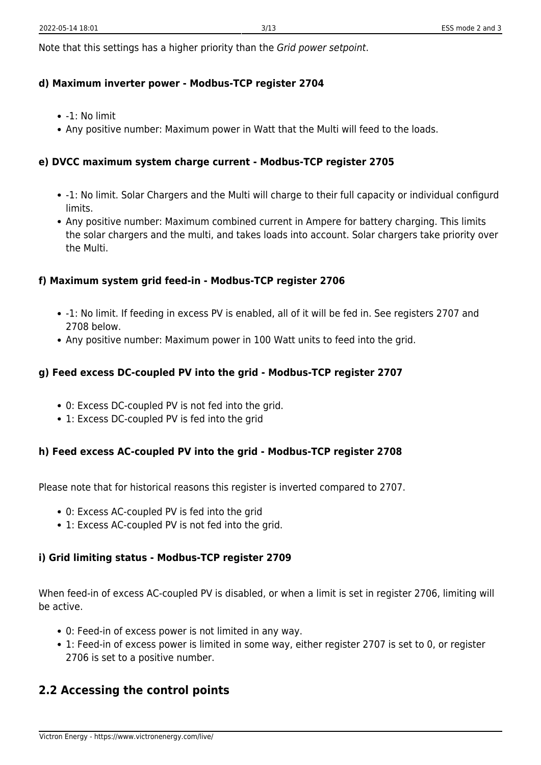Note that this settings has a higher priority than the Grid power setpoint.

#### **d) Maximum inverter power - Modbus-TCP register 2704**

- $\bullet$  -1: No limit
- Any positive number: Maximum power in Watt that the Multi will feed to the loads.

### **e) DVCC maximum system charge current - Modbus-TCP register 2705**

- -1: No limit. Solar Chargers and the Multi will charge to their full capacity or individual configurd limits.
- Any positive number: Maximum combined current in Ampere for battery charging. This limits the solar chargers and the multi, and takes loads into account. Solar chargers take priority over the Multi.

### **f) Maximum system grid feed-in - Modbus-TCP register 2706**

- -1: No limit. If feeding in excess PV is enabled, all of it will be fed in. See registers 2707 and 2708 below.
- Any positive number: Maximum power in 100 Watt units to feed into the grid.

### **g) Feed excess DC-coupled PV into the grid - Modbus-TCP register 2707**

- 0: Excess DC-coupled PV is not fed into the grid.
- 1: Excess DC-coupled PV is fed into the grid

### **h) Feed excess AC-coupled PV into the grid - Modbus-TCP register 2708**

Please note that for historical reasons this register is inverted compared to 2707.

- 0: Excess AC-coupled PV is fed into the grid
- 1: Excess AC-coupled PV is not fed into the grid.

### **i) Grid limiting status - Modbus-TCP register 2709**

When feed-in of excess AC-coupled PV is disabled, or when a limit is set in register 2706, limiting will be active.

- 0: Feed-in of excess power is not limited in any way.
- 1: Feed-in of excess power is limited in some way, either register 2707 is set to 0, or register 2706 is set to a positive number.

### **2.2 Accessing the control points**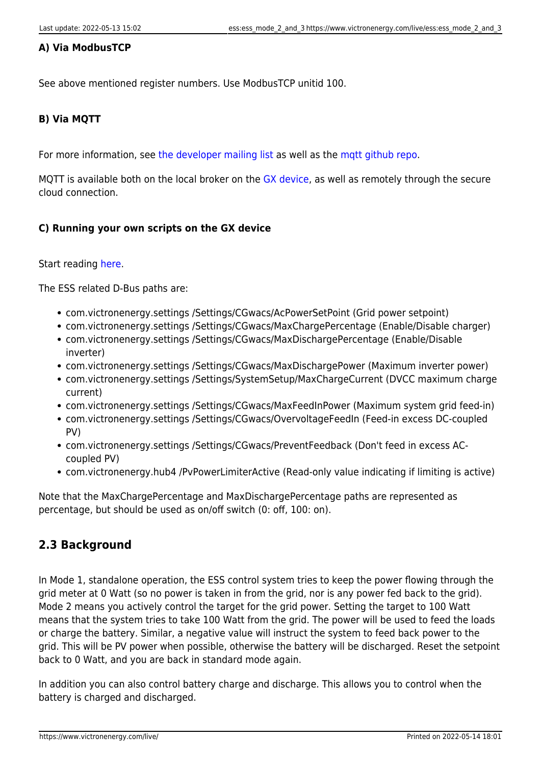### **A) Via ModbusTCP**

See above mentioned register numbers. Use ModbusTCP unitid 100.

### **B) Via MQTT**

For more information, see [the developer mailing list](https://groups.google.com/forum/m/#!forum/victron-dev-venus) as well as the [mqtt github repo](https://github.com/victronenergy/dbus-mqtt).

MQTT is available both on the local broker on the [GX device](https://www.victronenergy.com/live/venus-os:start), as well as remotely through the secure cloud connection.

### **C) Running your own scripts on the GX device**

### Start reading [here](https://www.victronenergy.com/live/open_source:start).

The ESS related D-Bus paths are:

- com.victronenergy.settings /Settings/CGwacs/AcPowerSetPoint (Grid power setpoint)
- com.victronenergy.settings /Settings/CGwacs/MaxChargePercentage (Enable/Disable charger)
- com.victronenergy.settings /Settings/CGwacs/MaxDischargePercentage (Enable/Disable inverter)
- com.victronenergy.settings /Settings/CGwacs/MaxDischargePower (Maximum inverter power)
- com.victronenergy.settings /Settings/SystemSetup/MaxChargeCurrent (DVCC maximum charge current)
- com.victronenergy.settings /Settings/CGwacs/MaxFeedInPower (Maximum system grid feed-in)
- com.victronenergy.settings /Settings/CGwacs/OvervoltageFeedIn (Feed-in excess DC-coupled PV)
- com.victronenergy.settings /Settings/CGwacs/PreventFeedback (Don't feed in excess ACcoupled PV)
- com.victronenergy.hub4 /PvPowerLimiterActive (Read-only value indicating if limiting is active)

Note that the MaxChargePercentage and MaxDischargePercentage paths are represented as percentage, but should be used as on/off switch (0: off, 100: on).

### **2.3 Background**

In Mode 1, standalone operation, the ESS control system tries to keep the power flowing through the grid meter at 0 Watt (so no power is taken in from the grid, nor is any power fed back to the grid). Mode 2 means you actively control the target for the grid power. Setting the target to 100 Watt means that the system tries to take 100 Watt from the grid. The power will be used to feed the loads or charge the battery. Similar, a negative value will instruct the system to feed back power to the grid. This will be PV power when possible, otherwise the battery will be discharged. Reset the setpoint back to 0 Watt, and you are back in standard mode again.

In addition you can also control battery charge and discharge. This allows you to control when the battery is charged and discharged.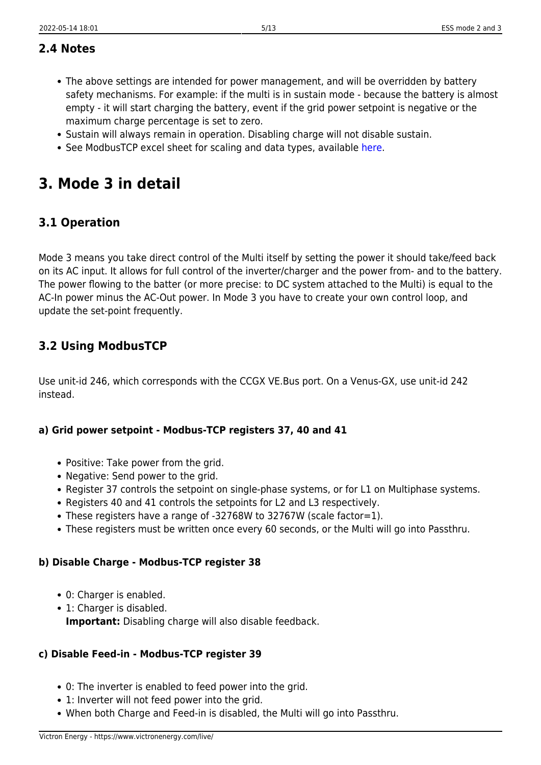### **2.4 Notes**

- The above settings are intended for power management, and will be overridden by battery safety mechanisms. For example: if the multi is in sustain mode - because the battery is almost empty - it will start charging the battery, event if the grid power setpoint is negative or the maximum charge percentage is set to zero.
- Sustain will always remain in operation. Disabling charge will not disable sustain.
- See ModbusTCP excel sheet for scaling and data types, available [here](https://www.victronenergy.com/support-and-downloads/whitepapers).

## **3. Mode 3 in detail**

### **3.1 Operation**

Mode 3 means you take direct control of the Multi itself by setting the power it should take/feed back on its AC input. It allows for full control of the inverter/charger and the power from- and to the battery. The power flowing to the batter (or more precise: to DC system attached to the Multi) is equal to the AC-In power minus the AC-Out power. In Mode 3 you have to create your own control loop, and update the set-point frequently.

### **3.2 Using ModbusTCP**

Use unit-id 246, which corresponds with the CCGX VE.Bus port. On a Venus-GX, use unit-id 242 instead.

### **a) Grid power setpoint - Modbus-TCP registers 37, 40 and 41**

- Positive: Take power from the grid.
- Negative: Send power to the grid.
- Register 37 controls the setpoint on single-phase systems, or for L1 on Multiphase systems.
- Registers 40 and 41 controls the setpoints for L2 and L3 respectively.
- These registers have a range of -32768W to 32767W (scale factor=1).
- These registers must be written once every 60 seconds, or the Multi will go into Passthru.

### **b) Disable Charge - Modbus-TCP register 38**

- 0: Charger is enabled.
- 1: Charger is disabled. **Important:** Disabling charge will also disable feedback.

### **c) Disable Feed-in - Modbus-TCP register 39**

- 0: The inverter is enabled to feed power into the grid.
- 1: Inverter will not feed power into the grid.
- When both Charge and Feed-in is disabled, the Multi will go into Passthru.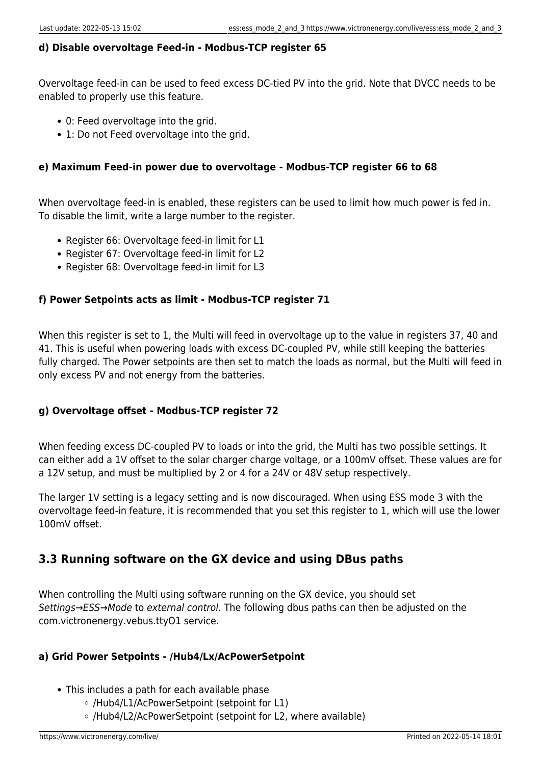### **d) Disable overvoltage Feed-in - Modbus-TCP register 65**

Overvoltage feed-in can be used to feed excess DC-tied PV into the grid. Note that DVCC needs to be enabled to properly use this feature.

- 0: Feed overvoltage into the grid.
- 1: Do not Feed overvoltage into the grid.

### **e) Maximum Feed-in power due to overvoltage - Modbus-TCP register 66 to 68**

When overvoltage feed-in is enabled, these registers can be used to limit how much power is fed in. To disable the limit, write a large number to the register.

- Register 66: Overvoltage feed-in limit for L1
- Register 67: Overvoltage feed-in limit for L2
- Register 68: Overvoltage feed-in limit for L3

### **f) Power Setpoints acts as limit - Modbus-TCP register 71**

When this register is set to 1, the Multi will feed in overvoltage up to the value in registers 37, 40 and 41. This is useful when powering loads with excess DC-coupled PV, while still keeping the batteries fully charged. The Power setpoints are then set to match the loads as normal, but the Multi will feed in only excess PV and not energy from the batteries.

### **g) Overvoltage offset - Modbus-TCP register 72**

When feeding excess DC-coupled PV to loads or into the grid, the Multi has two possible settings. It can either add a 1V offset to the solar charger charge voltage, or a 100mV offset. These values are for a 12V setup, and must be multiplied by 2 or 4 for a 24V or 48V setup respectively.

The larger 1V setting is a legacy setting and is now discouraged. When using ESS mode 3 with the overvoltage feed-in feature, it is recommended that you set this register to 1, which will use the lower 100mV offset.

### **3.3 Running software on the GX device and using DBus paths**

When controlling the Multi using software running on the GX device, you should set Settings→ESS→Mode to external control. The following dbus paths can then be adjusted on the com.victronenergy.vebus.ttyO1 service.

### **a) Grid Power Setpoints - /Hub4/Lx/AcPowerSetpoint**

- This includes a path for each available phase
	- /Hub4/L1/AcPowerSetpoint (setpoint for L1)
	- /Hub4/L2/AcPowerSetpoint (setpoint for L2, where available)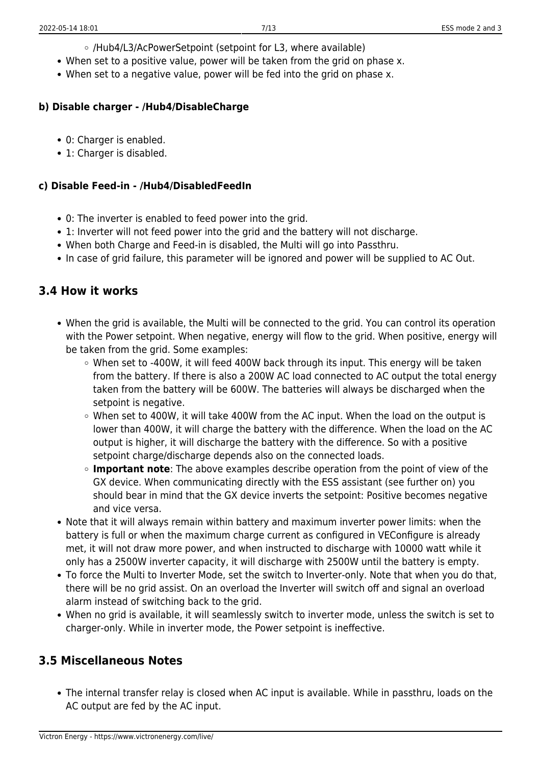- /Hub4/L3/AcPowerSetpoint (setpoint for L3, where available)
- When set to a positive value, power will be taken from the grid on phase x.
- When set to a negative value, power will be fed into the grid on phase x.

### **b) Disable charger - /Hub4/DisableCharge**

- 0: Charger is enabled.
- 1: Charger is disabled.

### **c) Disable Feed-in - /Hub4/DisabledFeedIn**

- 0: The inverter is enabled to feed power into the grid.
- 1: Inverter will not feed power into the grid and the battery will not discharge.
- When both Charge and Feed-in is disabled, the Multi will go into Passthru.
- In case of grid failure, this parameter will be ignored and power will be supplied to AC Out.

### **3.4 How it works**

- When the grid is available, the Multi will be connected to the grid. You can control its operation with the Power setpoint. When negative, energy will flow to the grid. When positive, energy will be taken from the grid. Some examples:
	- $\circ$  When set to -400W, it will feed 400W back through its input. This energy will be taken from the battery. If there is also a 200W AC load connected to AC output the total energy taken from the battery will be 600W. The batteries will always be discharged when the setpoint is negative.
	- When set to 400W, it will take 400W from the AC input. When the load on the output is lower than 400W, it will charge the battery with the difference. When the load on the AC output is higher, it will discharge the battery with the difference. So with a positive setpoint charge/discharge depends also on the connected loads.
	- **Important note**: The above examples describe operation from the point of view of the GX device. When communicating directly with the ESS assistant (see further on) you should bear in mind that the GX device inverts the setpoint: Positive becomes negative and vice versa.
- Note that it will always remain within battery and maximum inverter power limits: when the battery is full or when the maximum charge current as configured in VEConfigure is already met, it will not draw more power, and when instructed to discharge with 10000 watt while it only has a 2500W inverter capacity, it will discharge with 2500W until the battery is empty.
- To force the Multi to Inverter Mode, set the switch to Inverter-only. Note that when you do that, there will be no grid assist. On an overload the Inverter will switch off and signal an overload alarm instead of switching back to the grid.
- When no grid is available, it will seamlessly switch to inverter mode, unless the switch is set to charger-only. While in inverter mode, the Power setpoint is ineffective.

### **3.5 Miscellaneous Notes**

The internal transfer relay is closed when AC input is available. While in passthru, loads on the AC output are fed by the AC input.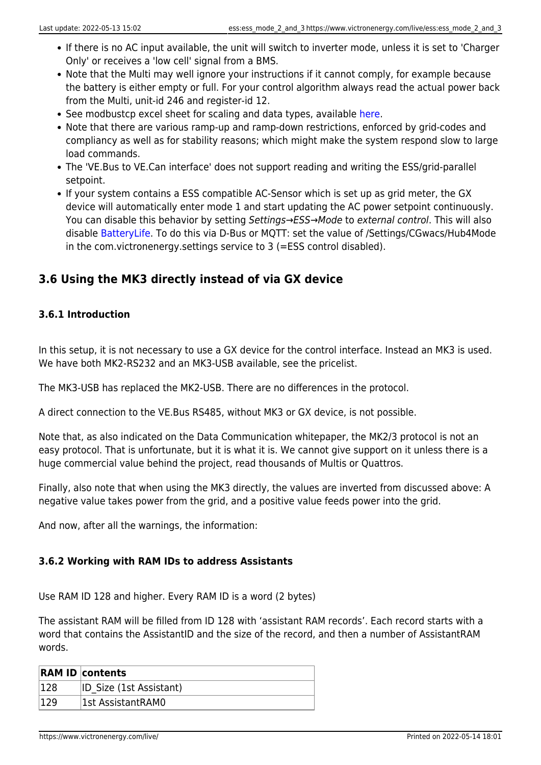- If there is no AC input available, the unit will switch to inverter mode, unless it is set to 'Charger Only' or receives a 'low cell' signal from a BMS.
- Note that the Multi may well ignore your instructions if it cannot comply, for example because the battery is either empty or full. For your control algorithm always read the actual power back from the Multi, unit-id 246 and register-id 12.
- See modbustcp excel sheet for scaling and data types, available [here](https://www.victronenergy.com/support-and-downloads/whitepapers).
- Note that there are various ramp-up and ramp-down restrictions, enforced by grid-codes and compliancy as well as for stability reasons; which might make the system respond slow to large load commands.
- The 'VE.Bus to VE.Can interface' does not support reading and writing the ESS/grid-parallel setpoint.
- If your system contains a ESS compatible AC-Sensor which is set up as grid meter, the GX device will automatically enter mode 1 and start updating the AC power setpoint continuously. You can disable this behavior by setting Settings→ESS→Mode to external control. This will also disable [BatteryLife.](https://www.victronenergy.com/live/ess:design-installation-manual#batterylife) To do this via D-Bus or MQTT: set the value of /Settings/CGwacs/Hub4Mode in the com.victronenergy.settings service to 3 (=ESS control disabled).

### **3.6 Using the MK3 directly instead of via GX device**

### **3.6.1 Introduction**

In this setup, it is not necessary to use a GX device for the control interface. Instead an MK3 is used. We have both MK2-RS232 and an MK3-USB available, see the pricelist.

The MK3-USB has replaced the MK2-USB. There are no differences in the protocol.

A direct connection to the VE.Bus RS485, without MK3 or GX device, is not possible.

Note that, as also indicated on the Data Communication whitepaper, the MK2/3 protocol is not an easy protocol. That is unfortunate, but it is what it is. We cannot give support on it unless there is a huge commercial value behind the project, read thousands of Multis or Quattros.

Finally, also note that when using the MK3 directly, the values are inverted from discussed above: A negative value takes power from the grid, and a positive value feeds power into the grid.

And now, after all the warnings, the information:

### **3.6.2 Working with RAM IDs to address Assistants**

Use RAM ID 128 and higher. Every RAM ID is a word (2 bytes)

The assistant RAM will be filled from ID 128 with 'assistant RAM records'. Each record starts with a word that contains the AssistantID and the size of the record, and then a number of AssistantRAM words.

|      | <b>RAM ID contents</b>  |
|------|-------------------------|
| 128  | ID Size (1st Assistant) |
| ∩ר ו | 1st AssistantRAM0       |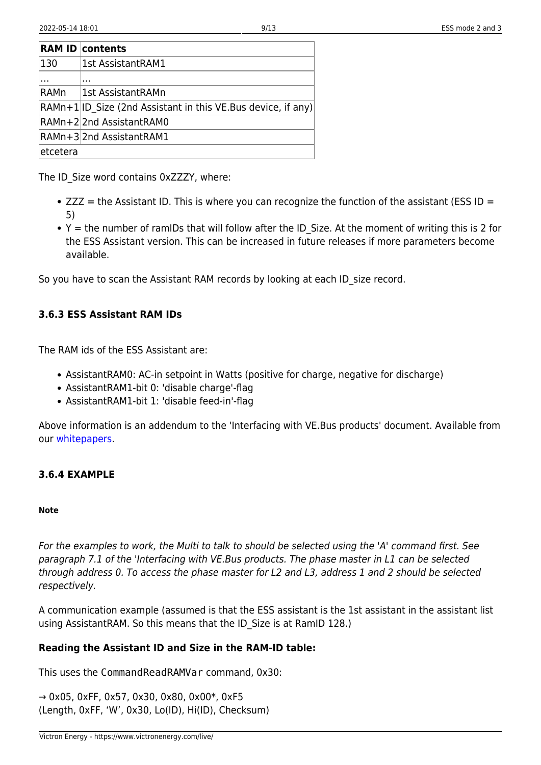|          | <b>RAM ID contents</b>                                       |
|----------|--------------------------------------------------------------|
| 130      | 1st AssistantRAM1                                            |
|          | .                                                            |
| RAMn     | 1st AssistantRAMn                                            |
|          | RAMn+1 ID Size (2nd Assistant in this VE.Bus device, if any) |
|          | RAMn+22nd AssistantRAM0                                      |
|          | RAMn+32nd AssistantRAM1                                      |
| etcetera |                                                              |

The ID Size word contains 0xZZZY, where:

- $\bullet$  ZZZ = the Assistant ID. This is where you can recognize the function of the assistant (ESS ID = 5)
- $\bullet$  Y = the number of ramIDs that will follow after the ID Size. At the moment of writing this is 2 for the ESS Assistant version. This can be increased in future releases if more parameters become available.

So you have to scan the Assistant RAM records by looking at each ID\_size record.

### **3.6.3 ESS Assistant RAM IDs**

The RAM ids of the ESS Assistant are:

- AssistantRAM0: AC-in setpoint in Watts (positive for charge, negative for discharge)
- AssistantRAM1-bit 0: 'disable charge'-flag
- AssistantRAM1-bit 1: 'disable feed-in'-flag

Above information is an addendum to the 'Interfacing with VE.Bus products' document. Available from our [whitepapers](https://www.victronenergy.com/support-and-downloads/whitepapers).

### **3.6.4 EXAMPLE**

#### **Note**

For the examples to work, the Multi to talk to should be selected using the 'A' command first. See paragraph 7.1 of the 'Interfacing with VE.Bus products. The phase master in L1 can be selected through address 0. To access the phase master for L2 and L3, address 1 and 2 should be selected respectively.

A communication example (assumed is that the ESS assistant is the 1st assistant in the assistant list using AssistantRAM. So this means that the ID\_Size is at RamID 128.)

### **Reading the Assistant ID and Size in the RAM-ID table:**

This uses the CommandReadRAMVar command, 0x30:

→ 0x05, 0xFF, 0x57, 0x30, 0x80, 0x00\*, 0xF5 (Length, 0xFF, 'W', 0x30, Lo(ID), Hi(ID), Checksum)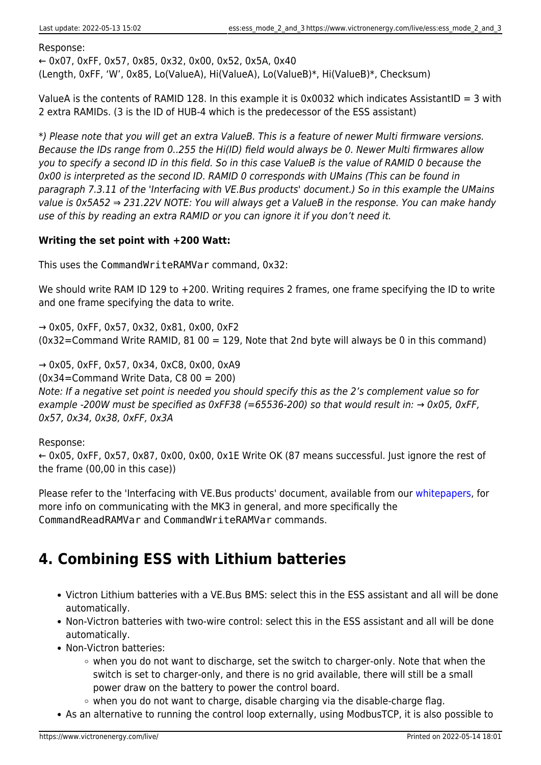Response:

← 0x07, 0xFF, 0x57, 0x85, 0x32, 0x00, 0x52, 0x5A, 0x40 (Length, 0xFF, 'W', 0x85, Lo(ValueA), Hi(ValueA), Lo(ValueB)\*, Hi(ValueB)\*, Checksum)

ValueA is the contents of RAMID 128. In this example it is 0x0032 which indicates AssistantID = 3 with 2 extra RAMIDs. (3 is the ID of HUB-4 which is the predecessor of the ESS assistant)

\*) Please note that you will get an extra ValueB. This is a feature of newer Multi firmware versions. Because the IDs range from 0..255 the Hi(ID) field would always be 0. Newer Multi firmwares allow you to specify a second ID in this field. So in this case ValueB is the value of RAMID 0 because the 0x00 is interpreted as the second ID. RAMID 0 corresponds with UMains (This can be found in paragraph 7.3.11 of the 'Interfacing with VE.Bus products' document.) So in this example the UMains value is 0x5A52  $\Rightarrow$  231.22V NOTE: You will always get a ValueB in the response. You can make handy use of this by reading an extra RAMID or you can ignore it if you don't need it.

### **Writing the set point with +200 Watt:**

This uses the CommandWriteRAMVar command, 0x32:

We should write RAM ID 129 to +200. Writing requires 2 frames, one frame specifying the ID to write and one frame specifying the data to write.

 $\rightarrow$  0x05, 0xFF, 0x57, 0x32, 0x81, 0x00, 0xF2 (0x32=Command Write RAMID, 81 00 = 129, Note that 2nd byte will always be 0 in this command)

 $\rightarrow$  0x05, 0xFF, 0x57, 0x34, 0xC8, 0x00, 0xA9

(0x34=Command Write Data, C8 00 = 200)

Note: If a negative set point is needed you should specify this as the 2's complement value so for example -200W must be specified as 0xFF38 (=65536-200) so that would result in:  $\rightarrow$  0x05, 0xFF, 0x57, 0x34, 0x38, 0xFF, 0x3A

### Response:

← 0x05, 0xFF, 0x57, 0x87, 0x00, 0x00, 0x1E Write OK (87 means successful. Just ignore the rest of the frame (00,00 in this case))

Please refer to the 'Interfacing with VE.Bus products' document, available from our [whitepapers,](https://www.victronenergy.com/support-and-downloads/whitepapers) for more info on communicating with the MK3 in general, and more specifically the CommandReadRAMVar and CommandWriteRAMVar commands.

# **4. Combining ESS with Lithium batteries**

- Victron Lithium batteries with a VE.Bus BMS: select this in the ESS assistant and all will be done automatically.
- Non-Victron batteries with two-wire control: select this in the ESS assistant and all will be done automatically.
- Non-Victron batteries:
	- $\circ$  when you do not want to discharge, set the switch to charger-only. Note that when the switch is set to charger-only, and there is no grid available, there will still be a small power draw on the battery to power the control board.
	- $\circ$  when you do not want to charge, disable charging via the disable-charge flag.
- As an alternative to running the control loop externally, using ModbusTCP, it is also possible to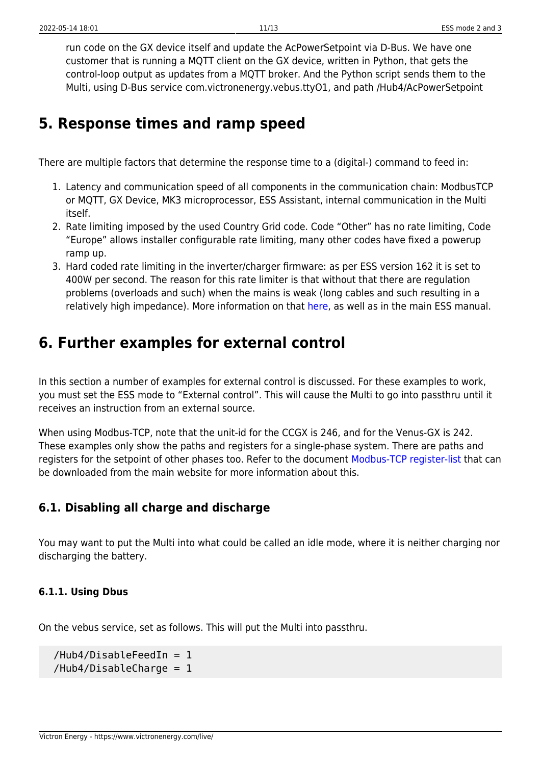run code on the GX device itself and update the AcPowerSetpoint via D-Bus. We have one customer that is running a MQTT client on the GX device, written in Python, that gets the control-loop output as updates from a MQTT broker. And the Python script sends them to the Multi, using D-Bus service com.victronenergy.vebus.ttyO1, and path /Hub4/AcPowerSetpoint

## **5. Response times and ramp speed**

There are multiple factors that determine the response time to a (digital-) command to feed in:

- 1. Latency and communication speed of all components in the communication chain: ModbusTCP or MQTT, GX Device, MK3 microprocessor, ESS Assistant, internal communication in the Multi itself.
- 2. Rate limiting imposed by the used Country Grid code. Code "Other" has no rate limiting, Code "Europe" allows installer configurable rate limiting, many other codes have fixed a powerup ramp up.
- 3. Hard coded rate limiting in the inverter/charger firmware: as per ESS version 162 it is set to 400W per second. The reason for this rate limiter is that without that there are regulation problems (overloads and such) when the mains is weak (long cables and such resulting in a relatively high impedance). More information on that [here](https://www.victronenergy.com/live/ve.bus:grid-codes-and-loss-of-mains-detection), as well as in the main ESS manual.

## **6. Further examples for external control**

In this section a number of examples for external control is discussed. For these examples to work, you must set the ESS mode to "External control". This will cause the Multi to go into passthru until it receives an instruction from an external source.

When using Modbus-TCP, note that the unit-id for the CCGX is 246, and for the Venus-GX is 242. These examples only show the paths and registers for a single-phase system. There are paths and registers for the setpoint of other phases too. Refer to the document [Modbus-TCP register-list](https://www.victronenergy.com/support-and-downloads/whitepapers) that can be downloaded from the main website for more information about this.

### **6.1. Disabling all charge and discharge**

You may want to put the Multi into what could be called an idle mode, where it is neither charging nor discharging the battery.

### **6.1.1. Using Dbus**

On the vebus service, set as follows. This will put the Multi into passthru.

```
/Hub4/DisableFeedIn = 1 /Hub4/DisableCharge = 1
```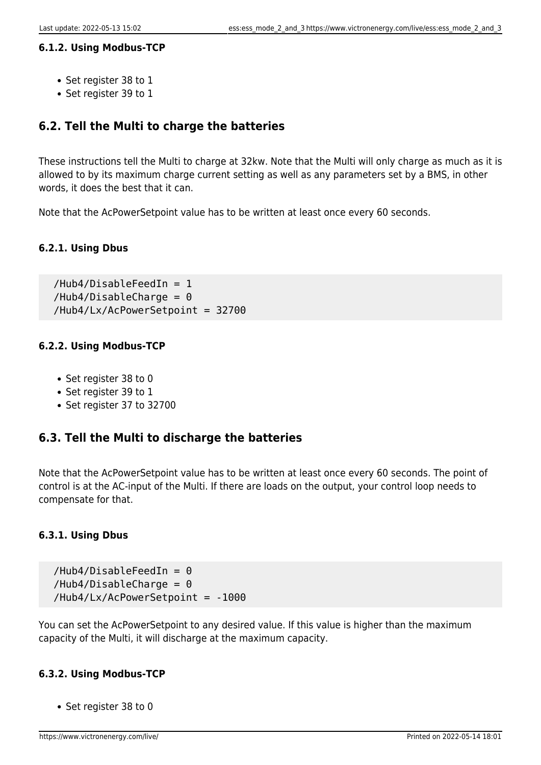### **6.1.2. Using Modbus-TCP**

- Set register 38 to 1
- Set register 39 to 1

### **6.2. Tell the Multi to charge the batteries**

These instructions tell the Multi to charge at 32kw. Note that the Multi will only charge as much as it is allowed to by its maximum charge current setting as well as any parameters set by a BMS, in other words, it does the best that it can.

Note that the AcPowerSetpoint value has to be written at least once every 60 seconds.

### **6.2.1. Using Dbus**

 /Hub4/DisableFeedIn = 1  $/Hub4/DisableCharge = 0$ /Hub4/Lx/AcPowerSetpoint = 32700

### **6.2.2. Using Modbus-TCP**

- Set register 38 to 0
- Set register 39 to 1
- Set register 37 to 32700

### **6.3. Tell the Multi to discharge the batteries**

Note that the AcPowerSetpoint value has to be written at least once every 60 seconds. The point of control is at the AC-input of the Multi. If there are loads on the output, your control loop needs to compensate for that.

### **6.3.1. Using Dbus**

 $/Hub4/DisableFeedIn =  $0$$  $/Hub4/DisableCharge = 0$ /Hub4/Lx/AcPowerSetpoint = -1000

You can set the AcPowerSetpoint to any desired value. If this value is higher than the maximum capacity of the Multi, it will discharge at the maximum capacity.

### **6.3.2. Using Modbus-TCP**

• Set register 38 to 0